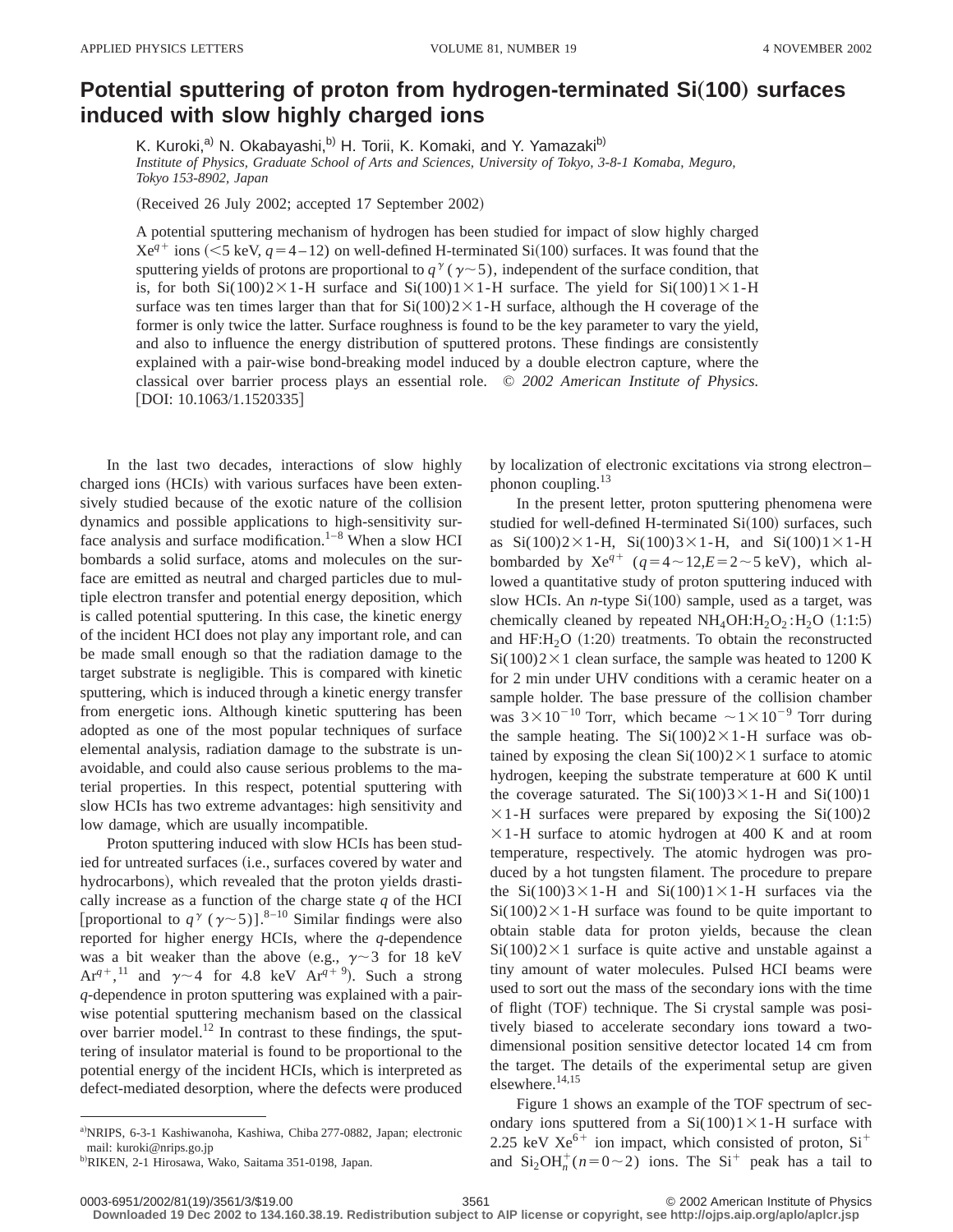## **Potential sputtering of proton from hydrogen-terminated Si(100) surfaces induced with slow highly charged ions**

K. Kuroki,<sup>a)</sup> N. Okabayashi,<sup>b)</sup> H. Torii, K. Komaki, and Y. Yamazaki<sup>b)</sup> *Institute of Physics, Graduate School of Arts and Sciences, University of Tokyo, 3-8-1 Komaba, Meguro, Tokyo 153-8902, Japan*

(Received 26 July 2002; accepted 17 September 2002)

A potential sputtering mechanism of hydrogen has been studied for impact of slow highly charged  $Xe^{q^+}$  ions (<5 keV,  $q=4-12$ ) on well-defined H-terminated Si(100) surfaces. It was found that the sputtering yields of protons are proportional to  $q^{\gamma}$  ( $\gamma$   $\sim$  5), independent of the surface condition, that is, for both Si(100)2×1-H surface and Si(100)1×1-H surface. The yield for Si(100)1×1-H surface was ten times larger than that for  $Si(100)2\times1-H$  surface, although the H coverage of the former is only twice the latter. Surface roughness is found to be the key parameter to vary the yield, and also to influence the energy distribution of sputtered protons. These findings are consistently explained with a pair-wise bond-breaking model induced by a double electron capture, where the classical over barrier process plays an essential role. © *2002 American Institute of Physics.*  $[DOI: 10.1063/1.1520335]$ 

In the last two decades, interactions of slow highly charged ions (HCIs) with various surfaces have been extensively studied because of the exotic nature of the collision dynamics and possible applications to high-sensitivity surface analysis and surface modification.<sup>1–8</sup> When a slow HCI bombards a solid surface, atoms and molecules on the surface are emitted as neutral and charged particles due to multiple electron transfer and potential energy deposition, which is called potential sputtering. In this case, the kinetic energy of the incident HCI does not play any important role, and can be made small enough so that the radiation damage to the target substrate is negligible. This is compared with kinetic sputtering, which is induced through a kinetic energy transfer from energetic ions. Although kinetic sputtering has been adopted as one of the most popular techniques of surface elemental analysis, radiation damage to the substrate is unavoidable, and could also cause serious problems to the material properties. In this respect, potential sputtering with slow HCIs has two extreme advantages: high sensitivity and low damage, which are usually incompatible.

Proton sputtering induced with slow HCIs has been studied for untreated surfaces (i.e., surfaces covered by water and hydrocarbons), which revealed that the proton yields drastically increase as a function of the charge state *q* of the HCI [proportional to  $q^{\gamma}$  ( $\gamma$   $\sim$  5)].<sup>8–10</sup> Similar findings were also reported for higher energy HCIs, where the *q*-dependence was a bit weaker than the above (e.g.,  $\gamma \sim 3$  for 18 keV Ar<sup>q+</sup>,<sup>11</sup> and  $\gamma$   $\sim$  4 for 4.8 keV Ar<sup>q+9</sup>). Such a strong *q*-dependence in proton sputtering was explained with a pairwise potential sputtering mechanism based on the classical over barrier model.<sup>12</sup> In contrast to these findings, the sputtering of insulator material is found to be proportional to the potential energy of the incident HCIs, which is interpreted as defect-mediated desorption, where the defects were produced

by localization of electronic excitations via strong electron– phonon coupling.<sup>13</sup>

In the present letter, proton sputtering phenomena were studied for well-defined H-terminated  $Si(100)$  surfaces, such as  $Si(100)2\times1-H$ ,  $Si(100)3\times1-H$ , and  $Si(100)1\times1-H$ bombarded by  $Xe^{q+}$  ( $q=4 \sim 12, E=2 \sim 5$  keV), which allowed a quantitative study of proton sputtering induced with slow HCIs. An *n*-type  $Si(100)$  sample, used as a target, was chemically cleaned by repeated  $NH_4OH:H_2O_2:H_2O (1:1:5)$ and  $HF:H<sub>2</sub>O (1:20)$  treatments. To obtain the reconstructed  $Si(100)2\times1$  clean surface, the sample was heated to 1200 K for 2 min under UHV conditions with a ceramic heater on a sample holder. The base pressure of the collision chamber was  $3 \times 10^{-10}$  Torr, which became  $\sim 1 \times 10^{-9}$  Torr during the sample heating. The  $Si(100)2\times1-H$  surface was obtained by exposing the clean  $Si(100)2\times1$  surface to atomic hydrogen, keeping the substrate temperature at 600 K until the coverage saturated. The  $Si(100)3 \times 1$ -H and  $Si(100)1$  $\times$ 1-H surfaces were prepared by exposing the Si(100)2  $\times$ 1-H surface to atomic hydrogen at 400 K and at room temperature, respectively. The atomic hydrogen was produced by a hot tungsten filament. The procedure to prepare the Si(100)3×1-H and Si(100)1×1-H surfaces via the  $Si(100)2\times1-H$  surface was found to be quite important to obtain stable data for proton yields, because the clean  $Si(100)2\times1$  surface is quite active and unstable against a tiny amount of water molecules. Pulsed HCI beams were used to sort out the mass of the secondary ions with the time of flight (TOF) technique. The Si crystal sample was positively biased to accelerate secondary ions toward a twodimensional position sensitive detector located 14 cm from the target. The details of the experimental setup are given elsewhere.<sup>14,15</sup>

Figure 1 shows an example of the TOF spectrum of secondary ions sputtered from a  $Si(100)1 \times 1$ -H surface with 2.25 keV  $Xe^{6+}$  ion impact, which consisted of proton,  $Si^+$ and  $\text{Si}_2\text{OH}_n^+(n=0\sim 2)$  ions. The Si<sup>+</sup> peak has a tail to

a)NRIPS, 6-3-1 Kashiwanoha, Kashiwa, Chiba 277-0882, Japan; electronic mail: kuroki@nrips.go.jp

b)RIKEN, 2-1 Hirosawa, Wako, Saitama 351-0198, Japan.

<sup>0003-6951/2002/81(19)/3561/3/\$19.00 3561 3/61 3561 © 2002</sup> American Institute of Physics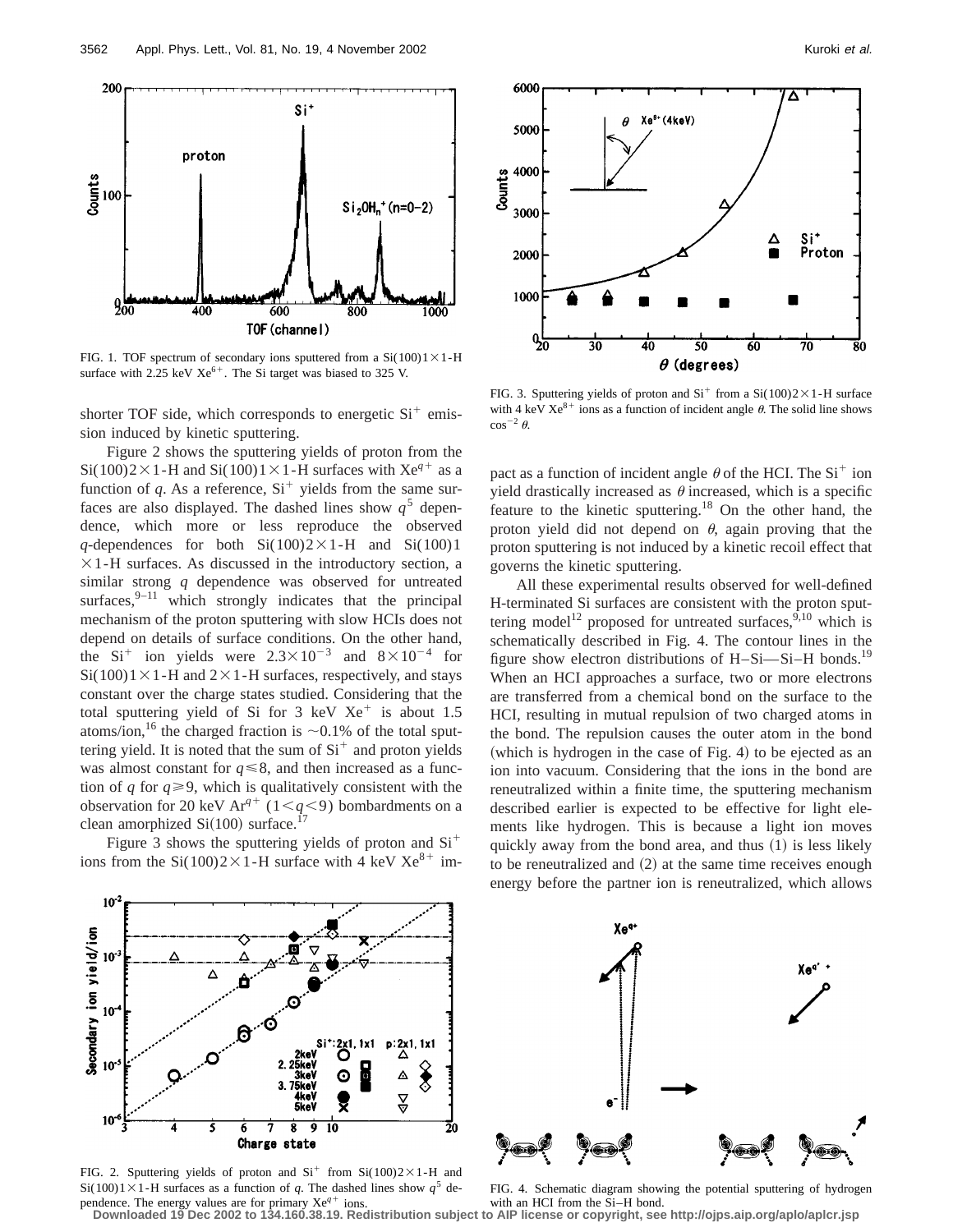

FIG. 1. TOF spectrum of secondary ions sputtered from a  $Si(100)1 \times 1$ -H surface with 2.25 keV  $Xe^{6+}$ . The Si target was biased to 325 V.

shorter TOF side, which corresponds to energetic  $Si<sup>+</sup>$  emission induced by kinetic sputtering.

Figure 2 shows the sputtering yields of proton from the Si(100)2×1-H and Si(100)1×1-H surfaces with Xe<sup>q+</sup> as a function of *q*. As a reference,  $Si<sup>+</sup>$  yields from the same surfaces are also displayed. The dashed lines show  $q<sup>5</sup>$  dependence, which more or less reproduce the observed *q*-dependences for both  $Si(100)2\times1-H$  and  $Si(100)1$  $\times$ 1-H surfaces. As discussed in the introductory section, a similar strong *q* dependence was observed for untreated surfaces, $9-11$  which strongly indicates that the principal mechanism of the proton sputtering with slow HCIs does not depend on details of surface conditions. On the other hand, the  $Si<sup>+</sup>$  ion yields were  $2.3 \times 10^{-3}$  and  $8 \times 10^{-4}$  for  $Si(100)1\times1-H$  and  $2\times1-H$  surfaces, respectively, and stays constant over the charge states studied. Considering that the total sputtering yield of Si for 3 keV  $Xe^+$  is about 1.5 atoms/ion,<sup>16</sup> the charged fraction is  $\sim$ 0.1% of the total sputtering yield. It is noted that the sum of  $Si<sup>+</sup>$  and proton yields was almost constant for  $q \le 8$ , and then increased as a function of *q* for  $q \ge 9$ , which is qualitatively consistent with the observation for 20 keV Ar<sup>q+</sup> (1< $q$ <9) bombardments on a clean amorphized  $Si(100)$  surface.<sup>17</sup>

Figure 3 shows the sputtering yields of proton and  $Si<sup>+</sup>$ ions from the Si(100)2 $\times$ 1-H surface with 4 keV Xe<sup>8+</sup> im-



FIG. 3. Sputtering yields of proton and  $Si<sup>+</sup>$  from a  $Si(100)2\times1$ -H surface with 4 keV  $Xe^{8+}$  ions as a function of incident angle  $\theta$ . The solid line shows  $\cos^{-2} \theta$ .

pact as a function of incident angle  $\theta$  of the HCI. The Si<sup>+</sup> ion yield drastically increased as  $\theta$  increased, which is a specific feature to the kinetic sputtering.<sup>18</sup> On the other hand, the proton yield did not depend on  $\theta$ , again proving that the proton sputtering is not induced by a kinetic recoil effect that governs the kinetic sputtering.

All these experimental results observed for well-defined H-terminated Si surfaces are consistent with the proton sputtering model<sup>12</sup> proposed for untreated surfaces,  $9,10$  which is schematically described in Fig. 4. The contour lines in the figure show electron distributions of H–Si–Si–H bonds.<sup>19</sup> When an HCI approaches a surface, two or more electrons are transferred from a chemical bond on the surface to the HCI, resulting in mutual repulsion of two charged atoms in the bond. The repulsion causes the outer atom in the bond (which is hydrogen in the case of Fig. 4) to be ejected as an ion into vacuum. Considering that the ions in the bond are reneutralized within a finite time, the sputtering mechanism described earlier is expected to be effective for light elements like hydrogen. This is because a light ion moves quickly away from the bond area, and thus  $(1)$  is less likely to be reneutralized and  $(2)$  at the same time receives enough energy before the partner ion is reneutralized, which allows



FIG. 2. Sputtering yields of proton and  $Si<sup>+</sup>$  from  $Si(100)2\times1$ -H and Si(100)1×1-H surfaces as a function of *q*. The dashed lines show  $q^5$  de-



pendence. The energy values are for primary Xe<sup>q+</sup> ions.<br>Downloaded 19 Dec 2002 to 134.160.38.19. Redistribution subject to AIP license or copyright, see http://ojps.aip.org/aplo/aplcr.jsp FIG. 4. Schematic diagram showing the potential sputtering of hydrogen